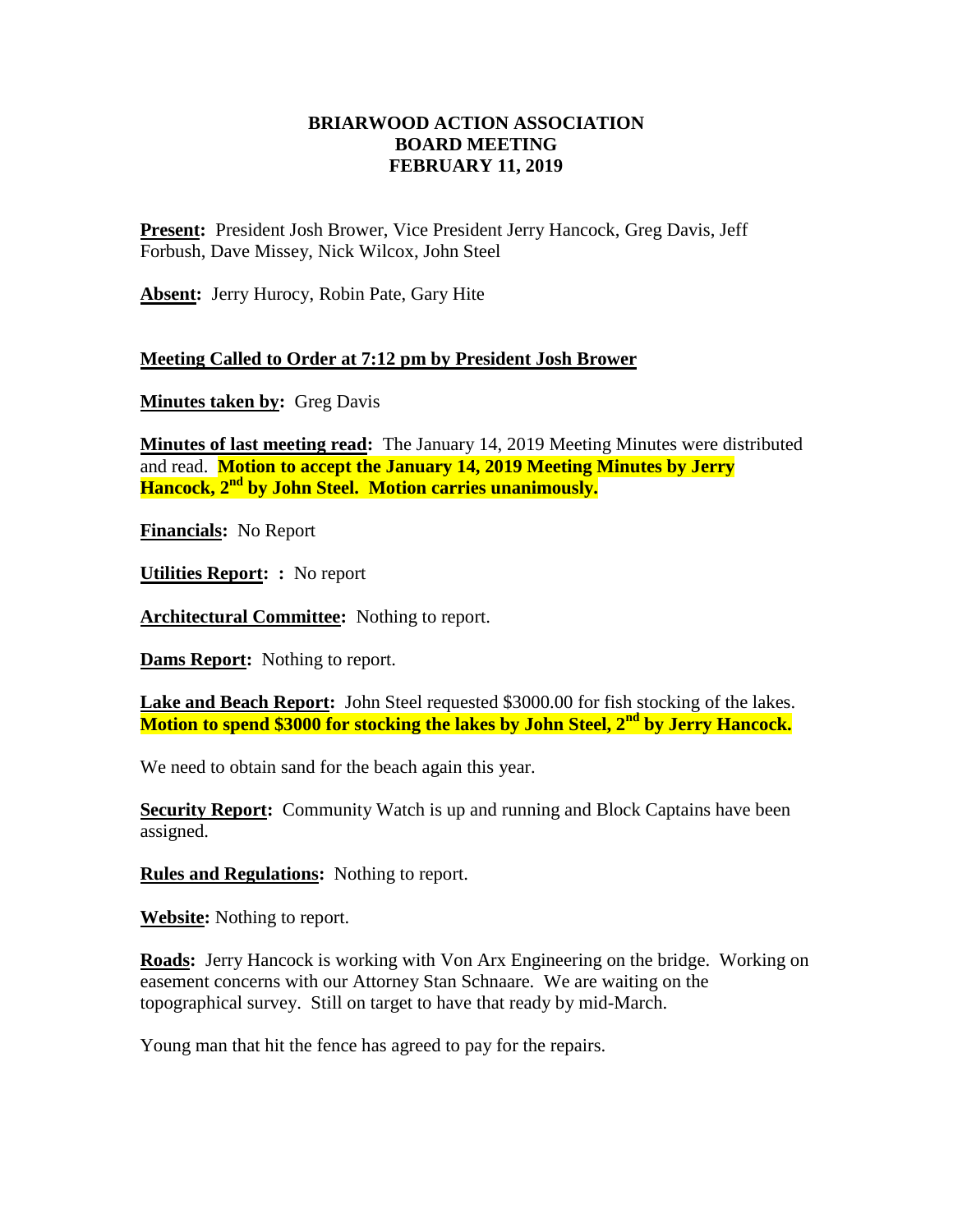## **BRIARWOOD ACTION ASSOCIATION BOARD MEETING FEBRUARY 11, 2019**

**Present:** President Josh Brower, Vice President Jerry Hancock, Greg Davis, Jeff Forbush, Dave Missey, Nick Wilcox, John Steel

**Absent:** Jerry Hurocy, Robin Pate, Gary Hite

## **Meeting Called to Order at 7:12 pm by President Josh Brower**

**Minutes taken by:** Greg Davis

**Minutes of last meeting read:** The January 14, 2019 Meeting Minutes were distributed and read. **Motion to accept the January 14, 2019 Meeting Minutes by Jerry Hancock, 2nd by John Steel. Motion carries unanimously.**

**Financials:** No Report

**Utilities Report: :** No report

**Architectural Committee:** Nothing to report.

**Dams Report:** Nothing to report.

**Lake and Beach Report:** John Steel requested \$3000.00 for fish stocking of the lakes. **Motion to spend \$3000 for stocking the lakes by John Steel, 2nd by Jerry Hancock.**

We need to obtain sand for the beach again this year.

**Security Report:** Community Watch is up and running and Block Captains have been assigned.

**Rules and Regulations:** Nothing to report.

**Website:** Nothing to report.

**Roads:** Jerry Hancock is working with Von Arx Engineering on the bridge. Working on easement concerns with our Attorney Stan Schnaare. We are waiting on the topographical survey. Still on target to have that ready by mid-March.

Young man that hit the fence has agreed to pay for the repairs.